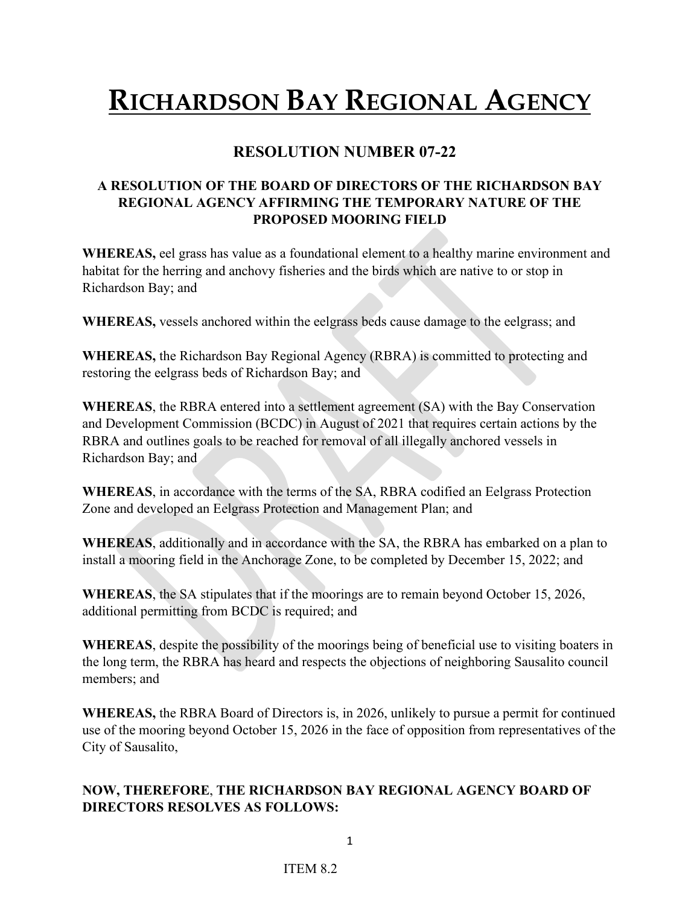## **RICHARDSON BAY REGIONAL AGENCY**

## **RESOLUTION NUMBER 07-22**

## **A RESOLUTION OF THE BOARD OF DIRECTORS OF THE RICHARDSON BAY REGIONAL AGENCY AFFIRMING THE TEMPORARY NATURE OF THE PROPOSED MOORING FIELD**

**WHEREAS,** eel grass has value as a foundational element to a healthy marine environment and habitat for the herring and anchovy fisheries and the birds which are native to or stop in Richardson Bay; and

**WHEREAS,** vessels anchored within the eelgrass beds cause damage to the eelgrass; and

**WHEREAS,** the Richardson Bay Regional Agency (RBRA) is committed to protecting and restoring the eelgrass beds of Richardson Bay; and

**WHEREAS**, the RBRA entered into a settlement agreement (SA) with the Bay Conservation and Development Commission (BCDC) in August of 2021 that requires certain actions by the RBRA and outlines goals to be reached for removal of all illegally anchored vessels in Richardson Bay; and

**WHEREAS**, in accordance with the terms of the SA, RBRA codified an Eelgrass Protection Zone and developed an Eelgrass Protection and Management Plan; and

**WHEREAS**, additionally and in accordance with the SA, the RBRA has embarked on a plan to install a mooring field in the Anchorage Zone, to be completed by December 15, 2022; and

**WHEREAS**, the SA stipulates that if the moorings are to remain beyond October 15, 2026, additional permitting from BCDC is required; and

**WHEREAS**, despite the possibility of the moorings being of beneficial use to visiting boaters in the long term, the RBRA has heard and respects the objections of neighboring Sausalito council members; and

**WHEREAS,** the RBRA Board of Directors is, in 2026, unlikely to pursue a permit for continued use of the mooring beyond October 15, 2026 in the face of opposition from representatives of the City of Sausalito,

## **NOW, THEREFORE**, **THE RICHARDSON BAY REGIONAL AGENCY BOARD OF DIRECTORS RESOLVES AS FOLLOWS:**

1

ITEM 8.2